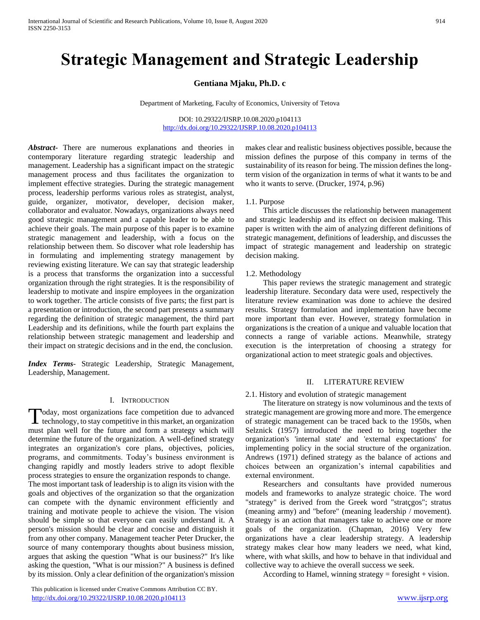# **Strategic Management and Strategic Leadership**

## **Gentiana Mjaku, Ph.D. c**

Department of Marketing, Faculty of Economics, University of Tetova

DOI: 10.29322/IJSRP.10.08.2020.p104113 <http://dx.doi.org/10.29322/IJSRP.10.08.2020.p104113>

*Abstract***-** There are numerous explanations and theories in contemporary literature regarding strategic leadership and management. Leadership has a significant impact on the strategic management process and thus facilitates the organization to implement effective strategies. During the strategic management process, leadership performs various roles as strategist, analyst, guide, organizer, motivator, developer, decision maker, collaborator and evaluator. Nowadays, organizations always need good strategic management and a capable leader to be able to achieve their goals. The main purpose of this paper is to examine strategic management and leadership, with a focus on the relationship between them. So discover what role leadership has in formulating and implementing strategy management by reviewing existing literature. We can say that strategic leadership is a process that transforms the organization into a successful organization through the right strategies. It is the responsibility of leadership to motivate and inspire employees in the organization to work together. The article consists of five parts; the first part is a presentation or introduction, the second part presents a summary regarding the definition of strategic management, the third part Leadership and its definitions, while the fourth part explains the relationship between strategic management and leadership and their impact on strategic decisions and in the end, the conclusion.

*Index Terms*- Strategic Leadership, Strategic Management, Leadership, Management.

#### I. INTRODUCTION

oday, most organizations face competition due to advanced Today, most organizations face competition due to advanced<br>technology, to stay competitive in this market, an organization must plan well for the future and form a strategy which will determine the future of the organization. A well-defined strategy integrates an organization's core plans, objectives, policies, programs, and commitments. Today's business environment is changing rapidly and mostly leaders strive to adopt flexible process strategies to ensure the organization responds to change. The most important task of leadership is to align its vision with the

goals and objectives of the organization so that the organization can compete with the dynamic environment efficiently and training and motivate people to achieve the vision. The vision should be simple so that everyone can easily understand it. A person's mission should be clear and concise and distinguish it from any other company. Management teacher Peter Drucker, the source of many contemporary thoughts about business mission, argues that asking the question "What is our business?" It's like asking the question, "What is our mission?" A business is defined by its mission. Only a clear definition of the organization's mission

 This publication is licensed under Creative Commons Attribution CC BY. <http://dx.doi.org/10.29322/IJSRP.10.08.2020.p104113> [www.ijsrp.org](http://ijsrp.org/)

makes clear and realistic business objectives possible, because the mission defines the purpose of this company in terms of the sustainability of its reason for being. The mission defines the longterm vision of the organization in terms of what it wants to be and who it wants to serve. (Drucker, 1974, p.96)

#### 1.1. Purpose

 This article discusses the relationship between management and strategic leadership and its effect on decision making. This paper is written with the aim of analyzing different definitions of strategic management, definitions of leadership, and discusses the impact of strategic management and leadership on strategic decision making.

#### 1.2. Methodology

 This paper reviews the strategic management and strategic leadership literature. Secondary data were used, respectively the literature review examination was done to achieve the desired results. Strategy formulation and implementation have become more important than ever. However, strategy formulation in organizations is the creation of a unique and valuable location that connects a range of variable actions. Meanwhile, strategy execution is the interpretation of choosing a strategy for organizational action to meet strategic goals and objectives.

#### II. LITERATURE REVIEW

#### 2.1. History and evolution of strategic management

 The literature on strategy is now voluminous and the texts of strategic management are growing more and more. The emergence of strategic management can be traced back to the 1950s, when Selznick (1957) introduced the need to bring together the organization's 'internal state' and 'external expectations' for implementing policy in the social structure of the organization. Andrews (1971) defined strategy as the balance of actions and choices between an organization's internal capabilities and external environment.

 Researchers and consultants have provided numerous models and frameworks to analyze strategic choice. The word "strategy" is derived from the Greek word "stratçgos"; stratus (meaning army) and "before" (meaning leadership / movement). Strategy is an action that managers take to achieve one or more goals of the organization. (Chapman, 2016) Very few organizations have a clear leadership strategy. A leadership strategy makes clear how many leaders we need, what kind, where, with what skills, and how to behave in that individual and collective way to achieve the overall success we seek.

According to Hamel, winning strategy  $=$  foresight  $+$  vision.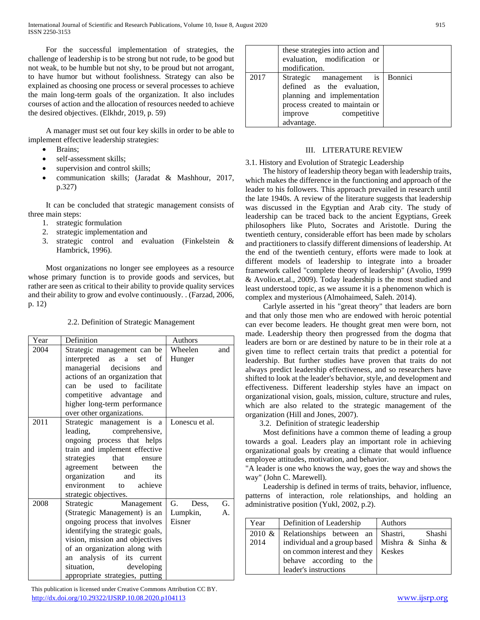For the successful implementation of strategies, the challenge of leadership is to be strong but not rude, to be good but not weak, to be humble but not shy, to be proud but not arrogant, to have humor but without foolishness. Strategy can also be explained as choosing one process or several processes to achieve the main long-term goals of the organization. It also includes courses of action and the allocation of resources needed to achieve the desired objectives. (Elkhdr, 2019, p. 59)

 A manager must set out four key skills in order to be able to implement effective leadership strategies:

- Brains;
- self-assessment skills;
- supervision and control skills;
- communication skills; (Jaradat & Mashhour, 2017, p.327)

 It can be concluded that strategic management consists of three main steps:

- 1. strategic formulation
- 2. strategic implementation and
- 3. strategic control and evaluation (Finkelstein & Hambrick, 1996).

 Most organizations no longer see employees as a resource whose primary function is to provide goods and services, but rather are seen as critical to their ability to provide quality services and their ability to grow and evolve continuously. . (Farzad, 2006, p. 12)

# 2.2. Definition of Strategic Management

| Year | Definition                                                     | Authors                  |
|------|----------------------------------------------------------------|--------------------------|
| 2004 | Strategic management can be                                    | Wheelen<br>and           |
|      | interpreted as a set<br>of                                     | Hunger                   |
|      | managerial decisions<br>and                                    |                          |
|      | actions of an organization that                                |                          |
|      | can be used to facilitate                                      |                          |
|      | competitive advantage and                                      |                          |
|      | higher long-term performance                                   |                          |
|      | over other organizations.                                      |                          |
| 2011 | Strategic management is a                                      | Lonescu et al.           |
|      | leading, comprehensive,                                        |                          |
|      | ongoing process that helps                                     |                          |
|      | train and implement effective                                  |                          |
|      | strategies that<br>ensure                                      |                          |
|      | agreement between<br>the                                       |                          |
|      | organization<br>and<br>its                                     |                          |
|      | environment to achieve                                         |                          |
|      | strategic objectives.                                          | G.                       |
| 2008 | Strategic Management                                           | G.<br>Dess,              |
|      | (Strategic Management) is an                                   | Lumpkin,<br>А.<br>Eisner |
|      | ongoing process that involves                                  |                          |
|      | identifying the strategic goals,                               |                          |
|      | vision, mission and objectives                                 |                          |
|      | of an organization along with<br>analysis of its current<br>an |                          |
|      | situation,<br>developing                                       |                          |
|      |                                                                |                          |
|      | appropriate strategies, putting                                |                          |

 This publication is licensed under Creative Commons Attribution CC BY. <http://dx.doi.org/10.29322/IJSRP.10.08.2020.p104113> [www.ijsrp.org](http://ijsrp.org/)

|      | these strategies into action and<br>evaluation, modification or<br>modification.                                                                                       |  |
|------|------------------------------------------------------------------------------------------------------------------------------------------------------------------------|--|
| 2017 | Strategic management is Bonnici<br>defined as the evaluation,<br>planning and implementation<br>process created to maintain or<br>competitive<br>improve<br>advantage. |  |

# III. LITERATURE REVIEW

## 3.1. History and Evolution of Strategic Leadership

 The history of leadership theory began with leadership traits, which makes the difference in the functioning and approach of the leader to his followers. This approach prevailed in research until the late 1940s. A review of the literature suggests that leadership was discussed in the Egyptian and Arab city. The study of leadership can be traced back to the ancient Egyptians, Greek philosophers like Pluto, Socrates and Aristotle. During the twentieth century, considerable effort has been made by scholars and practitioners to classify different dimensions of leadership. At the end of the twentieth century, efforts were made to look at different models of leadership to integrate into a broader framework called "complete theory of leadership" (Avolio, 1999 & Avolio.et.al., 2009). Today leadership is the most studied and least understood topic, as we assume it is a phenomenon which is complex and mysterious (Almohaimeed, Saleh. 2014).

 Carlyle asserted in his "great theory" that leaders are born and that only those men who are endowed with heroic potential can ever become leaders. He thought great men were born, not made. Leadership theory then progressed from the dogma that leaders are born or are destined by nature to be in their role at a given time to reflect certain traits that predict a potential for leadership. But further studies have proven that traits do not always predict leadership effectiveness, and so researchers have shifted to look at the leader's behavior, style, and development and effectiveness. Different leadership styles have an impact on organizational vision, goals, mission, culture, structure and rules, which are also related to the strategic management of the organization (Hill and Jones, 2007).

3.2. Definition of strategic leadership

 Most definitions have a common theme of leading a group towards a goal. Leaders play an important role in achieving organizational goals by creating a climate that would influence employee attitudes, motivation, and behavior.

"A leader is one who knows the way, goes the way and shows the way" (John C. Marewell).

 Leadership is defined in terms of traits, behavior, influence, patterns of interaction, role relationships, and holding an administrative position (Yukl, 2002, p.2).

| Year      | Definition of Leadership                        | Authors       |
|-----------|-------------------------------------------------|---------------|
| $2010 \&$ | Relationships between an Shastri,               | Shashi        |
| 2014      | individual and a group based   Mishra & Sinha & |               |
|           | on common interest and they                     | <b>Keskes</b> |
|           | behave according to the                         |               |
|           | leader's instructions                           |               |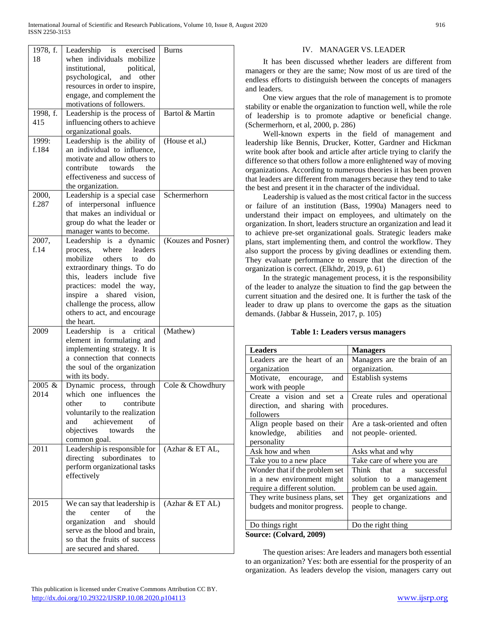| 1978, f.<br>18 | is exercised<br>Leadership<br>when individuals mobilize | <b>Burns</b>        |
|----------------|---------------------------------------------------------|---------------------|
|                | institutional,<br>political,                            |                     |
|                | psychological,<br>and<br>other                          |                     |
|                | resources in order to inspire,                          |                     |
|                | engage, and complement the                              |                     |
|                | motivations of followers.                               |                     |
| 1998, f.       | Leadership is the process of                            | Bartol & Martin     |
| 415            | influencing others to achieve                           |                     |
|                |                                                         |                     |
| 1999:          | organizational goals.<br>Leadership is the ability of   | (House et al,)      |
| f.184          | an individual to influence,                             |                     |
|                | motivate and allow others to                            |                     |
|                | contribute towards<br>the                               |                     |
|                | effectiveness and success of                            |                     |
|                | the organization.                                       |                     |
| 2000,          | Leadership is a special case                            | Schermerhorn        |
| f.287          | of interpersonal influence                              |                     |
|                | that makes an individual or                             |                     |
|                | group do what the leader or                             |                     |
|                | manager wants to become.                                |                     |
| 2007,          | Leadership is a dynamic                                 | (Kouzes and Posner) |
| f.14           | where<br>leaders<br>process,                            |                     |
|                | mobilize<br>others<br>do<br>to                          |                     |
|                | extraordinary things. To do                             |                     |
|                | this, leaders include five                              |                     |
|                | practices: model the way,                               |                     |
|                | inspire a<br>shared vision,                             |                     |
|                | challenge the process, allow                            |                     |
|                | others to act, and encourage                            |                     |
|                | the heart.                                              |                     |
| 2009           | Leadership<br>is<br>critical<br>a                       | (Mathew)            |
|                | element in formulating and                              |                     |
|                | implementing strategy. It is                            |                     |
|                | a connection that connects                              |                     |
|                | the soul of the organization                            |                     |
|                | with its body.                                          |                     |
| 2005 &         | Dynamic process, through                                | Cole & Chowdhury    |
| 2014           | which one influences<br>the                             |                     |
|                | other<br>contribute<br>to                               |                     |
|                | voluntarily to the realization                          |                     |
|                | achievement<br>of<br>and                                |                     |
|                | objectives<br>towards<br>the                            |                     |
|                | common goal.                                            |                     |
| 2011           | Leadership is responsible for                           | (Azhar & ET AL,     |
|                | directing subordinates<br>to                            |                     |
|                | perform organizational tasks                            |                     |
|                | effectively                                             |                     |
|                |                                                         |                     |
|                |                                                         |                     |
| 2015           | We can say that leadership is                           | (Azhar & ET AL)     |
|                | the<br>center<br>οf<br>the                              |                     |
|                | organization<br>should<br>and                           |                     |
|                | serve as the blood and brain,                           |                     |
|                | so that the fruits of success                           |                     |
|                | are secured and shared.                                 |                     |

## IV. MANAGER VS. LEADER

 It has been discussed whether leaders are different from managers or they are the same; Now most of us are tired of the endless efforts to distinguish between the concepts of managers and leaders.

 One view argues that the role of management is to promote stability or enable the organization to function well, while the role of leadership is to promote adaptive or beneficial change. (Schermerhorn, et al, 2000, p. 286)

 Well-known experts in the field of management and leadership like Bennis, Drucker, Kotter, Gardner and Hickman write book after book and article after article trying to clarify the difference so that others follow a more enlightened way of moving organizations. According to numerous theories it has been proven that leaders are different from managers because they tend to take the best and present it in the character of the individual.

 Leadership is valued as the most critical factor in the success or failure of an institution (Bass, 1990a) Managers need to understand their impact on employees, and ultimately on the organization. In short, leaders structure an organization and lead it to achieve pre-set organizational goals. Strategic leaders make plans, start implementing them, and control the workflow. They also support the process by giving deadlines or extending them. They evaluate performance to ensure that the direction of the organization is correct. (Elkhdr, 2019, p. 61)

 In the strategic management process, it is the responsibility of the leader to analyze the situation to find the gap between the current situation and the desired one. It is further the task of the leader to draw up plans to overcome the gaps as the situation demands. (Jabbar & Hussein, 2017, p. 105)

#### **Table 1: Leaders versus managers**

| <b>Leaders</b>                 | <b>Managers</b>               |  |
|--------------------------------|-------------------------------|--|
| Leaders are the heart of an    | Managers are the brain of an  |  |
| organization                   | organization.                 |  |
| Motivate, encourage,<br>and    | Establish systems             |  |
| work with people               |                               |  |
| Create a vision and set a      | Create rules and operational  |  |
| direction, and sharing with    | procedures.                   |  |
| followers                      |                               |  |
| Align people based on their    | Are a task-oriented and often |  |
| knowledge, abilities<br>and    | not people- oriented.         |  |
| personality                    |                               |  |
| Ask how and when               | Asks what and why             |  |
| Take you to a new place        | Take care of where you are    |  |
| Wonder that if the problem set | Think<br>that a successful    |  |
| in a new environment might     | solution to a management      |  |
| require a different solution.  | problem can be used again.    |  |
| They write business plans, set | They get organizations and    |  |
| budgets and monitor progress.  | people to change.             |  |
|                                |                               |  |
| Do things right                | Do the right thing            |  |
| Source: (Colvard, 2009)        |                               |  |

 The question arises: Are leaders and managers both essential to an organization? Yes: both are essential for the prosperity of an organization. As leaders develop the vision, managers carry out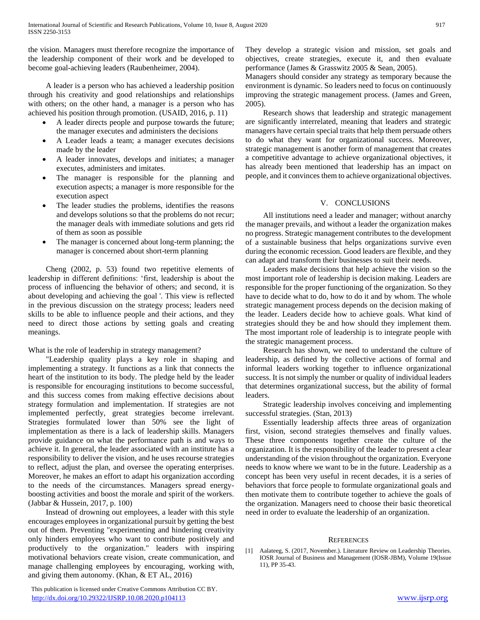the vision. Managers must therefore recognize the importance of the leadership component of their work and be developed to become goal-achieving leaders (Raubenheimer, 2004).

 A leader is a person who has achieved a leadership position through his creativity and good relationships and relationships with others; on the other hand, a manager is a person who has achieved his position through promotion. (USAID, 2016, p. 11)

- A leader directs people and purpose towards the future; the manager executes and administers the decisions
- A Leader leads a team; a manager executes decisions made by the leader
- A leader innovates, develops and initiates; a manager executes, administers and imitates.
- The manager is responsible for the planning and execution aspects; a manager is more responsible for the execution aspect
- The leader studies the problems, identifies the reasons and develops solutions so that the problems do not recur; the manager deals with immediate solutions and gets rid of them as soon as possible
- The manager is concerned about long-term planning; the manager is concerned about short-term planning

 Cheng (2002, p. 53) found two repetitive elements of leadership in different definitions: 'first, leadership is about the process of influencing the behavior of others; and second, it is about developing and achieving the goal '. This view is reflected in the previous discussion on the strategy process; leaders need skills to be able to influence people and their actions, and they need to direct those actions by setting goals and creating meanings.

What is the role of leadership in strategy management?

 "Leadership quality plays a key role in shaping and implementing a strategy. It functions as a link that connects the heart of the institution to its body. The pledge held by the leader is responsible for encouraging institutions to become successful, and this success comes from making effective decisions about strategy formulation and implementation. If strategies are not implemented perfectly, great strategies become irrelevant. Strategies formulated lower than 50% see the light of implementation as there is a lack of leadership skills. Managers provide guidance on what the performance path is and ways to achieve it. In general, the leader associated with an institute has a responsibility to deliver the vision, and he uses recourse strategies to reflect, adjust the plan, and oversee the operating enterprises. Moreover, he makes an effort to adapt his organization according to the needs of the circumstances. Managers spread energyboosting activities and boost the morale and spirit of the workers. (Jabbar & Hussein, 2017, p. 100)

 Instead of drowning out employees, a leader with this style encourages employees in organizational pursuit by getting the best out of them. Preventing "experimenting and hindering creativity only hinders employees who want to contribute positively and productively to the organization." leaders with inspiring motivational behaviors create vision, create communication, and manage challenging employees by encouraging, working with, and giving them autonomy. (Khan, & ET AL, 2016)

 This publication is licensed under Creative Commons Attribution CC BY. <http://dx.doi.org/10.29322/IJSRP.10.08.2020.p104113> [www.ijsrp.org](http://ijsrp.org/)

They develop a strategic vision and mission, set goals and objectives, create strategies, execute it, and then evaluate performance (James & Grasswitz 2005 & Sean, 2005).

Managers should consider any strategy as temporary because the environment is dynamic. So leaders need to focus on continuously improving the strategic management process. (James and Green, 2005).

 Research shows that leadership and strategic management are significantly interrelated, meaning that leaders and strategic managers have certain special traits that help them persuade others to do what they want for organizational success. Moreover, strategic management is another form of management that creates a competitive advantage to achieve organizational objectives, it has already been mentioned that leadership has an impact on people, and it convinces them to achieve organizational objectives.

## V. CONCLUSIONS

 All institutions need a leader and manager; without anarchy the manager prevails, and without a leader the organization makes no progress. Strategic management contributes to the development of a sustainable business that helps organizations survive even during the economic recession. Good leaders are flexible, and they can adapt and transform their businesses to suit their needs.

 Leaders make decisions that help achieve the vision so the most important role of leadership is decision making. Leaders are responsible for the proper functioning of the organization. So they have to decide what to do, how to do it and by whom. The whole strategic management process depends on the decision making of the leader. Leaders decide how to achieve goals. What kind of strategies should they be and how should they implement them. The most important role of leadership is to integrate people with the strategic management process.

 Research has shown, we need to understand the culture of leadership, as defined by the collective actions of formal and informal leaders working together to influence organizational success. It is not simply the number or quality of individual leaders that determines organizational success, but the ability of formal leaders.

 Strategic leadership involves conceiving and implementing successful strategies. (Stan, 2013)

 Essentially leadership affects three areas of organization first, vision, second strategies themselves and finally values. These three components together create the culture of the organization. It is the responsibility of the leader to present a clear understanding of the vision throughout the organization. Everyone needs to know where we want to be in the future. Leadership as a concept has been very useful in recent decades, it is a series of behaviors that force people to formulate organizational goals and then motivate them to contribute together to achieve the goals of the organization. Managers need to choose their basic theoretical need in order to evaluate the leadership of an organization.

### **REFERENCES**

[1] Aalateeg, S. (2017, November.). Literature Review on Leadership Theories. IOSR Journal of Business and Management (IOSR-JBM), Volume 19(Issue 11), PP 35-43.